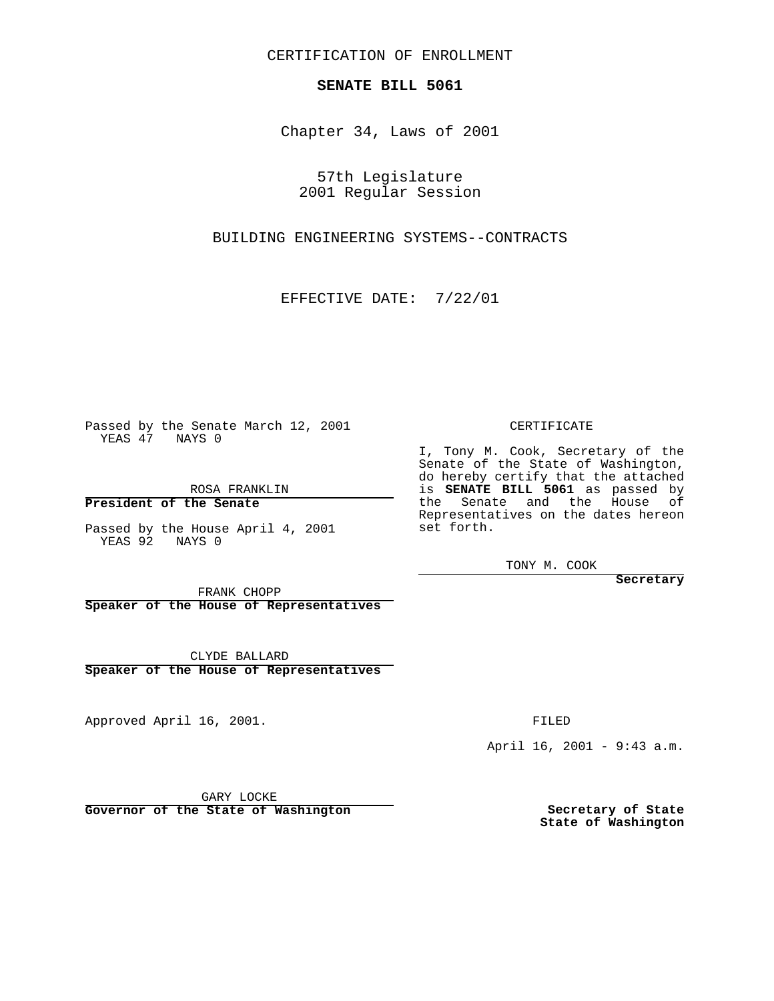CERTIFICATION OF ENROLLMENT

## **SENATE BILL 5061**

Chapter 34, Laws of 2001

57th Legislature 2001 Regular Session

BUILDING ENGINEERING SYSTEMS--CONTRACTS

EFFECTIVE DATE: 7/22/01

Passed by the Senate March 12, 2001 YEAS 47 NAYS 0

ROSA FRANKLIN

**President of the Senate**

Passed by the House April 4, 2001 YEAS 92 NAYS 0

## CERTIFICATE

I, Tony M. Cook, Secretary of the Senate of the State of Washington, do hereby certify that the attached is **SENATE BILL 5061** as passed by the Senate and the House of Representatives on the dates hereon set forth.

TONY M. COOK

FRANK CHOPP

**Speaker of the House of Representatives**

CLYDE BALLARD **Speaker of the House of Representatives**

Approved April 16, 2001.

FILED

April 16, 2001 - 9:43 a.m.

GARY LOCKE

**Governor of the State of Washington**

**Secretary of State State of Washington**

**Secretary**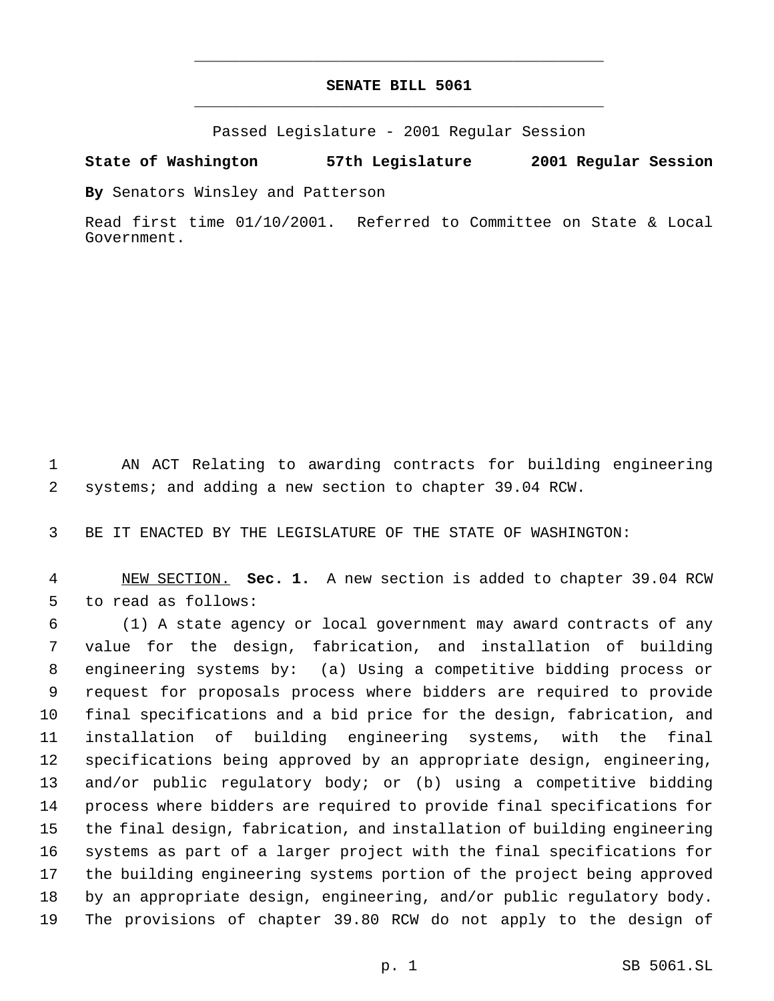## **SENATE BILL 5061** \_\_\_\_\_\_\_\_\_\_\_\_\_\_\_\_\_\_\_\_\_\_\_\_\_\_\_\_\_\_\_\_\_\_\_\_\_\_\_\_\_\_\_\_\_

\_\_\_\_\_\_\_\_\_\_\_\_\_\_\_\_\_\_\_\_\_\_\_\_\_\_\_\_\_\_\_\_\_\_\_\_\_\_\_\_\_\_\_\_\_

Passed Legislature - 2001 Regular Session

**State of Washington 57th Legislature 2001 Regular Session**

**By** Senators Winsley and Patterson

Read first time 01/10/2001. Referred to Committee on State & Local Government.

 AN ACT Relating to awarding contracts for building engineering systems; and adding a new section to chapter 39.04 RCW.

BE IT ENACTED BY THE LEGISLATURE OF THE STATE OF WASHINGTON:

 NEW SECTION. **Sec. 1.** A new section is added to chapter 39.04 RCW to read as follows:

 (1) A state agency or local government may award contracts of any value for the design, fabrication, and installation of building engineering systems by: (a) Using a competitive bidding process or request for proposals process where bidders are required to provide final specifications and a bid price for the design, fabrication, and installation of building engineering systems, with the final specifications being approved by an appropriate design, engineering, and/or public regulatory body; or (b) using a competitive bidding process where bidders are required to provide final specifications for the final design, fabrication, and installation of building engineering systems as part of a larger project with the final specifications for the building engineering systems portion of the project being approved by an appropriate design, engineering, and/or public regulatory body. The provisions of chapter 39.80 RCW do not apply to the design of